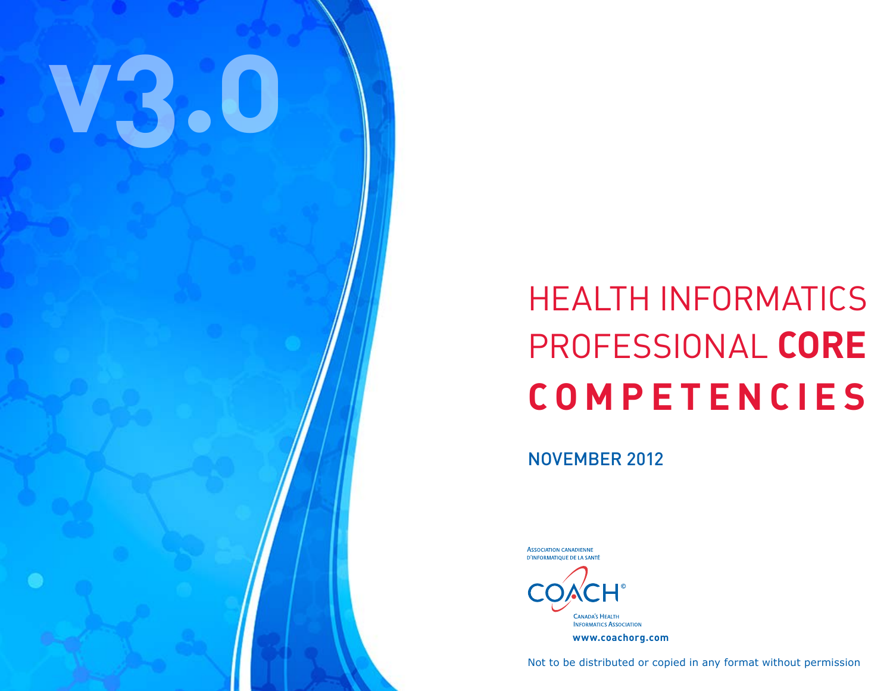# **v3.0**

# HEALTH INFORMATICS Professional **CORE COMPETENCIES**

NOVEMBER 2012

**CANADA'S HEALTH INFORMATICS ASSOCIATION www.coachorg.com**

**ASSOCIATION CANADIENNE** D'INFORMATIQUE DE LA SANTÉ

Not to be distributed or copied in any format without permission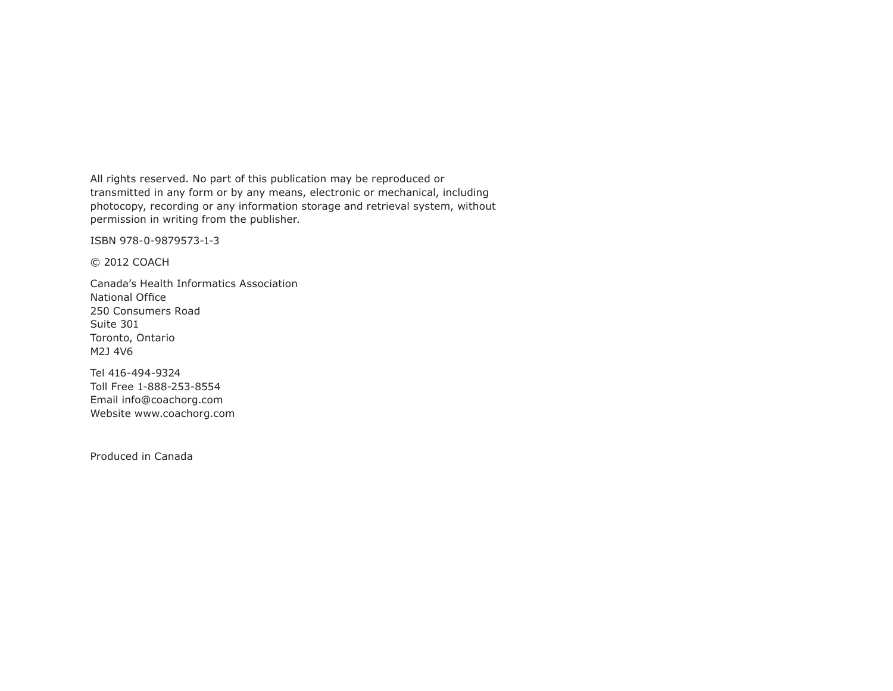All rights reserved. No part of this publication may be reproduced or transmitted in any form or by any means, electronic or mechanical, including photocopy, recording or any information storage and retrieval system, without permission in writing from the publisher.

ISBN 978-0-9879573-1-3

© 2012 COACH

Canada's Health Informatics Association National Office 250 Consumers Road Suite 301 Toronto, Ontario M2J 4V6

Tel 416-494-9324 Toll Free 1-888-253-8554 Email info@coachorg.com Website www.coachorg.com

Produced in Canada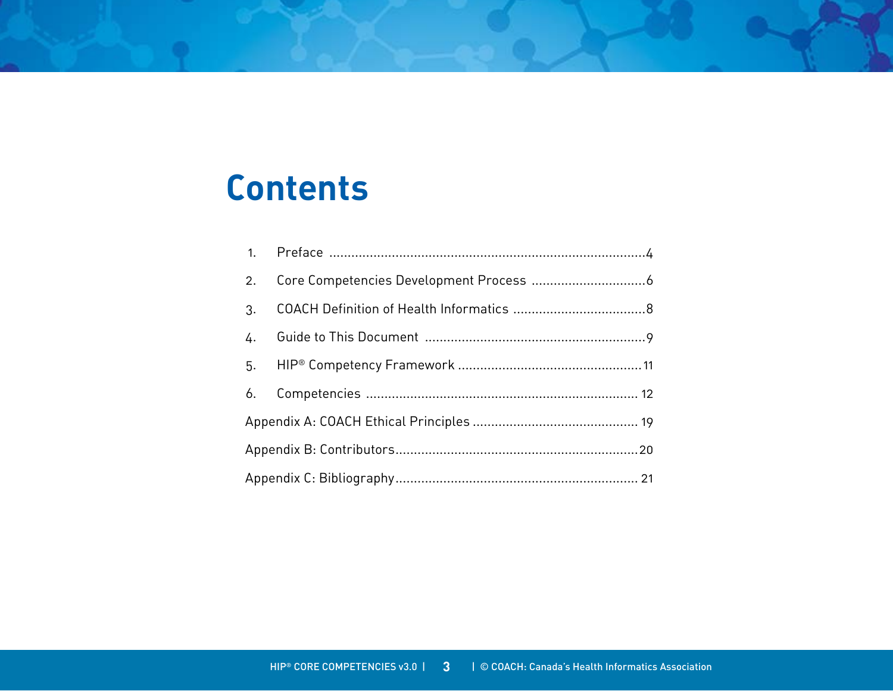# **Contents**

| 2.              |  |  |
|-----------------|--|--|
| 3.              |  |  |
| $\frac{1}{4}$ . |  |  |
| 5.              |  |  |
| 6.              |  |  |
|                 |  |  |
|                 |  |  |
|                 |  |  |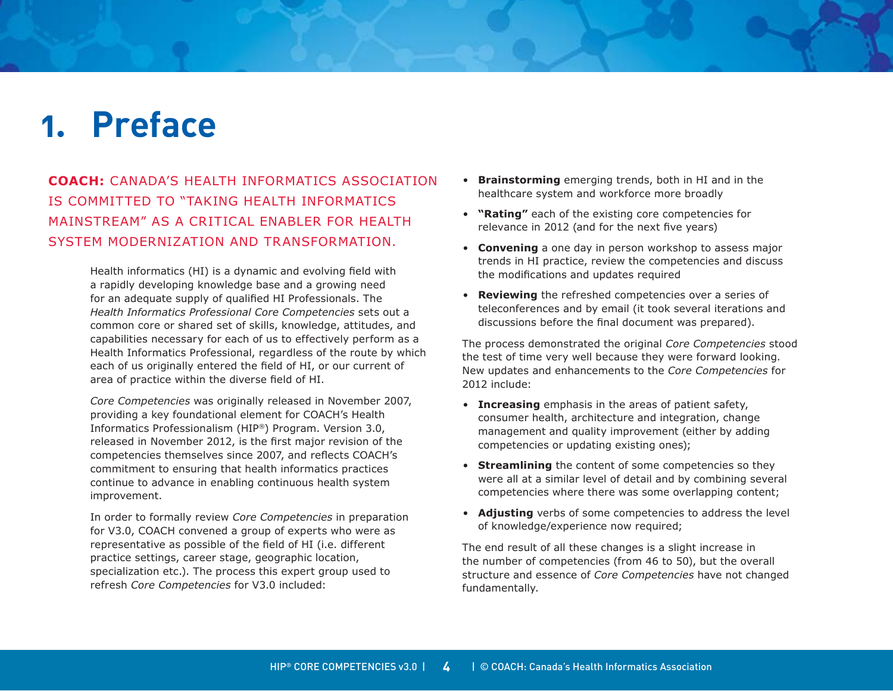# <span id="page-3-0"></span>**1. Preface**

**COACH:** Canada's Health Informatics Association is committed to "taking health informatics mainstream" as a critical enabler for health system modernization and transformation.

> Health informatics (HI) is a dynamic and evolving field with a rapidly developing knowledge base and a growing need for an adequate supply of qualified HI Professionals. The *Health Informatics Professional Core Competencies* sets out a common core or shared set of skills, knowledge, attitudes, and capabilities necessary for each of us to effectively perform as a Health Informatics Professional, regardless of the route by which each of us originally entered the field of HI, or our current of area of practice within the diverse field of HI.

*Core Competencies* was originally released in November 2007, providing a key foundational element for COACH's Health Informatics Professionalism (HIP®) Program. Version 3.0, released in November 2012, is the first major revision of the competencies themselves since 2007, and reflects COACH's commitment to ensuring that health informatics practices continue to advance in enabling continuous health system improvement.

In order to formally review *Core Competencies* in preparation for V3.0, COACH convened a group of experts who were as representative as possible of the field of HI (i.e. different practice settings, career stage, geographic location, specialization etc.). The process this expert group used to refresh *Core Competencies* for V3.0 included:

- **Brainstorming** emerging trends, both in HI and in the healthcare system and workforce more broadly
- **"Rating"** each of the existing core competencies for relevance in 2012 (and for the next five years)
- **Convening** a one day in person workshop to assess major trends in HI practice, review the competencies and discuss the modifications and updates required
- **Reviewing** the refreshed competencies over a series of teleconferences and by email (it took several iterations and discussions before the final document was prepared).

The process demonstrated the original *Core Competencies* stood the test of time very well because they were forward looking. New updates and enhancements to the *Core Competencies* for 2012 include:

- **Increasing** emphasis in the areas of patient safety, consumer health, architecture and integration, change management and quality improvement (either by adding competencies or updating existing ones);
- **Streamlining** the content of some competencies so they were all at a similar level of detail and by combining several competencies where there was some overlapping content;
- **Adjusting** verbs of some competencies to address the level of knowledge/experience now required;

The end result of all these changes is a slight increase in the number of competencies (from 46 to 50), but the overall structure and essence of *Core Competencies* have not changed fundamentally.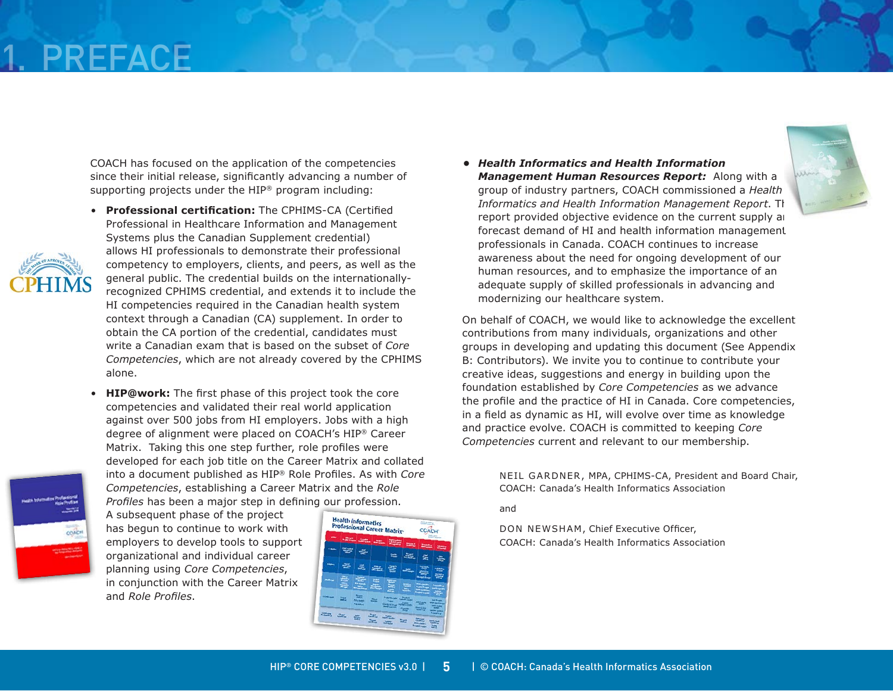# 1. Preface

COACH has focused on the application of the competencies since their initial release, significantly advancing a number of supporting projects under the HIP® program including:

- **Professional certification:** The CPHIMS-CA (Certified Professional in Healthcare Information and Management Systems plus the Canadian Supplement credential) allows HI professionals to demonstrate their professional competency to employers, clients, and peers, as well as the general public. The credential builds on the internationallyrecognized CPHIMS credential, and extends it to include the HI competencies required in the Canadian health system context through a Canadian (CA) supplement. In order to obtain the CA portion of the credential, candidates must write a Canadian exam that is based on the subset of *Core Competencies*, which are not already covered by the CPHIMS alone.
- **HIP@work:** The first phase of this project took the core competencies and validated their real world application against over 500 jobs from HI employers. Jobs with a high degree of alignment were placed on COACH's HIP® Career Matrix. Taking this one step further, role profiles were developed for each job title on the Career Matrix and collated into a document published as HIP® Role Profiles. As with *Core Competencies*, establishing a Career Matrix and the *Role Profiles* has been a major step in defining our profession.



A subsequent phase of the project has begun to continue to work with employers to develop tools to support organizational and individual career planning using *Core Competencies*, in conjunction with the Career Matrix and *Role Profiles*.



*• Health Informatics and Health Information Management Human Resources Report:* Along with a group of industry partners, COACH commissioned a *Health Informatics and Health Information Management Report. Theory Information* report provided objective evidence on the current supply and forecast demand of HI and health information management professionals in Canada. COACH continues to increase awareness about the need for ongoing development of our human resources, and to emphasize the importance of an adequate supply of skilled professionals in advancing and modernizing our healthcare system.

On behalf of COACH, we would like to acknowledge the excellent contributions from many individuals, organizations and other groups in developing and updating this document (See Appendix B: Contributors). We invite you to continue to contribute your creative ideas, suggestions and energy in building upon the foundation established by *Core Competencies* as we advance the profile and the practice of HI in Canada. Core competencies, in a field as dynamic as HI, will evolve over time as knowledge and practice evolve. COACH is committed to keeping *Core Competencies* current and relevant to our membership.

> Neil Gardner, MPA, CPHIMS-CA, President and Board Chair, COACH: Canada's Health Informatics Association

and

Don Newsham, Chief Executive Officer, COACH: Canada's Health Informatics Association

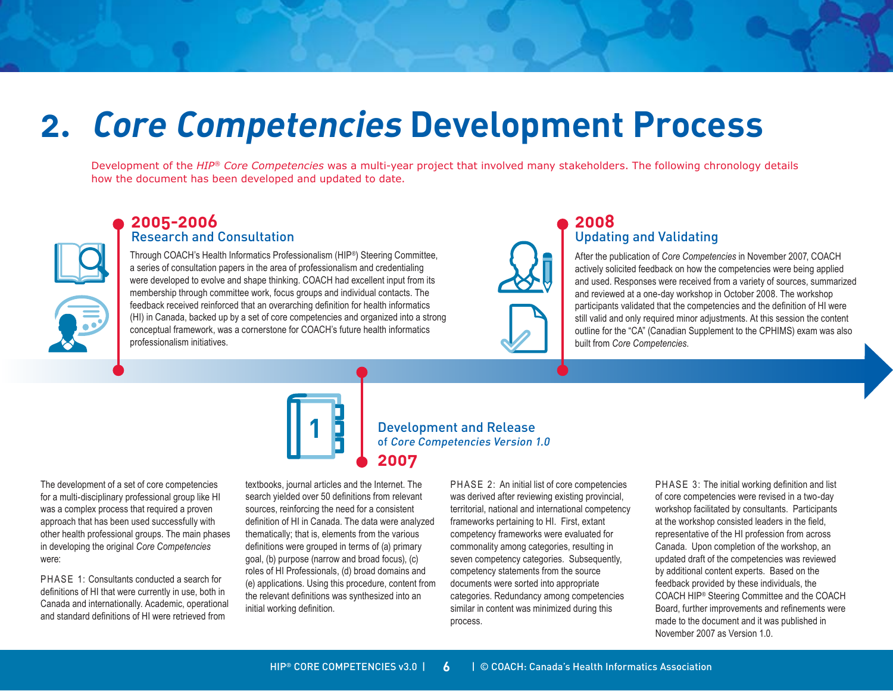# <span id="page-5-0"></span>**2. Core Competencies Development Process**

**2007**

Development of the *HIP® Core Competencies* was a multi-year project that involved many stakeholders. The following chronology details how the document has been developed and updated to date.

### **2005-2006**  Research and Consultation

Through COACH's Health Informatics Professionalism (HIP®) Steering Committee, a series of consultation papers in the area of professionalism and credentialing were developed to evolve and shape thinking. COACH had excellent input from its membership through committee work, focus groups and individual contacts. The feedback received reinforced that an overarching definition for health informatics (HI) in Canada, backed up by a set of core competencies and organized into a strong conceptual framework, was a cornerstone for COACH's future health informatics professionalism initiatives.



### **2008** Updating and Validating

After the publication of *Core Competencies* in November 2007, COACH actively solicited feedback on how the competencies were being applied and used. Responses were received from a variety of sources, summarized and reviewed at a one-day workshop in October 2008. The workshop participants validated that the competencies and the definition of HI were still valid and only required minor adjustments. At this session the content outline for the "CA" (Canadian Supplement to the CPHIMS) exam was also built from *Core Competencies*.



### Development and Release of Core Competencies Version 1.0

The development of a set of core competencies for a multi-disciplinary professional group like HI was a complex process that required a proven approach that has been used successfully with other health professional groups. The main phases in developing the original *Core Competencies*  were:

PHASE 1: Consultants conducted a search for definitions of HI that were currently in use, both in Canada and internationally. Academic, operational and standard definitions of HI were retrieved from

textbooks, journal articles and the Internet. The search yielded over 50 definitions from relevant sources, reinforcing the need for a consistent definition of HI in Canada. The data were analyzed thematically; that is, elements from the various definitions were grouped in terms of (a) primary goal, (b) purpose (narrow and broad focus), (c) roles of HI Professionals, (d) broad domains and (e) applications. Using this procedure, content from the relevant definitions was synthesized into an initial working definition.

PHASE 2: An initial list of core competencies was derived after reviewing existing provincial, territorial, national and international competency frameworks pertaining to HI. First, extant competency frameworks were evaluated for commonality among categories, resulting in seven competency categories. Subsequently, competency statements from the source documents were sorted into appropriate categories. Redundancy among competencies similar in content was minimized during this process.

PHASE 3: The initial working definition and list of core competencies were revised in a two-day workshop facilitated by consultants. Participants at the workshop consisted leaders in the field, representative of the HI profession from across Canada. Upon completion of the workshop, an updated draft of the competencies was reviewed by additional content experts. Based on the feedback provided by these individuals, the COACH HIP® Steering Committee and the COACH Board, further improvements and refinements were made to the document and it was published in November 2007 as Version 1.0.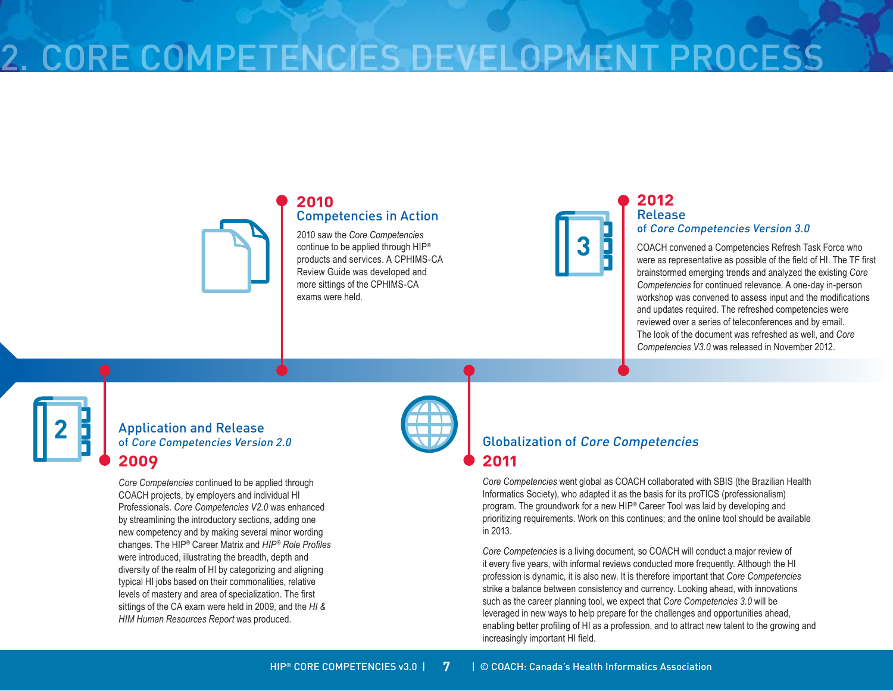# 2. Core Competencies Development Process

### **2010** Competencies in Action

2010 saw the *Core Competencies* continue to be applied through HIP® products and services. A CPHIMS-CA Review Guide was developed and more sittings of the CPHIMS-CA exams were held.



### **2012** Release

### of Core Competencies Version 3.0

COACH convened a Competencies Refresh Task Force who were as representative as possible of the field of HI. The TF first brainstormed emerging trends and analyzed the existing *Core Competencies* for continued relevance. A one-day in-person workshop was convened to assess input and the modifications and updates required. The refreshed competencies were reviewed over a series of teleconferences and by email. The look of the document was refreshed as well, and *Core Competencies V3.0* was released in November 2012.

Application and Release of Core Competencies Version 2.0 **2009**

**2**

*Core Competencies* continued to be applied through COACH projects, by employers and individual HI Professionals. *Core Competencies V2.0* was enhanced by streamlining the introductory sections, adding one new competency and by making several minor wording changes. The HIP® Career Matrix and *HIP® Role Profiles*  were introduced, illustrating the breadth, depth and diversity of the realm of HI by categorizing and aligning typical HI jobs based on their commonalities, relative levels of mastery and area of specialization. The first sittings of the CA exam were held in 2009, and the *HI & HIM Human Resources Report* was produced.



### Globalization of Core Competencies **2011**

*Core Competencies* went global as COACH collaborated with SBIS (the Brazilian Health Informatics Society), who adapted it as the basis for its proTICS (professionalism) program. The groundwork for a new HIP® Career Tool was laid by developing and prioritizing requirements. Work on this continues; and the online tool should be available in 2013.

*Core Competencies* is a living document, so COACH will conduct a major review of it every five years, with informal reviews conducted more frequently. Although the HI profession is dynamic, it is also new. It is therefore important that *Core Competencies*  strike a balance between consistency and currency. Looking ahead, with innovations such as the career planning tool, we expect that *Core Competencies 3.0* will be leveraged in new ways to help prepare for the challenges and opportunities ahead, enabling better profiling of HI as a profession, and to attract new talent to the growing and increasingly important HI field.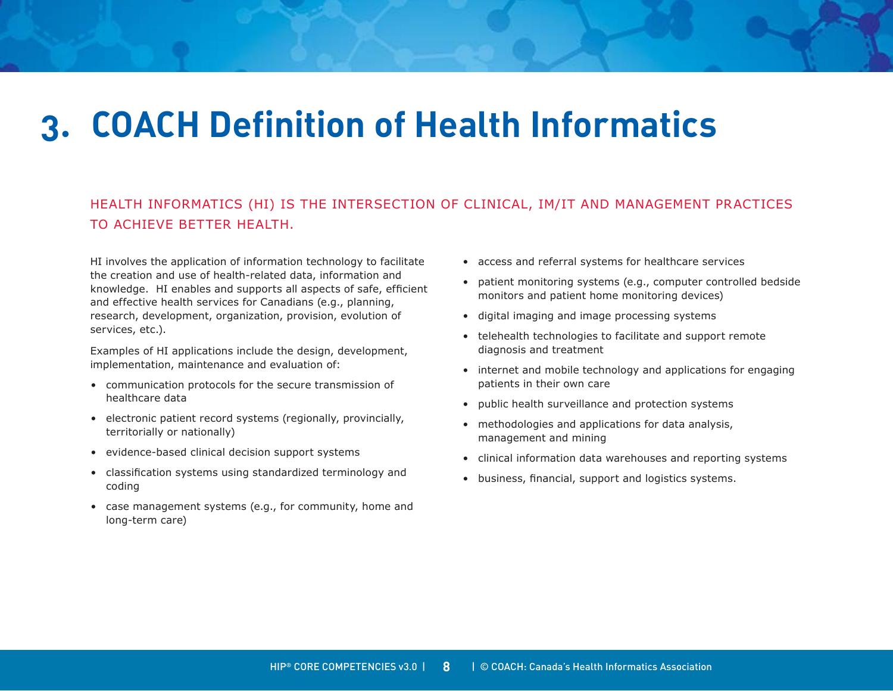# <span id="page-7-0"></span>**3. COACH Definition of Health Informatics**

### Health informatics (HI) is the intersection of clinical, IM/IT and management practices to achieve better health.

HI involves the application of information technology to facilitate the creation and use of health-related data, information and knowledge. HI enables and supports all aspects of safe, efficient and effective health services for Canadians (e.g., planning, research, development, organization, provision, evolution of services, etc.).

Examples of HI applications include the design, development, implementation, maintenance and evaluation of:

- communication protocols for the secure transmission of healthcare data
- electronic patient record systems (regionally, provincially, territorially or nationally)
- evidence-based clinical decision support systems
- classification systems using standardized terminology and coding
- case management systems (e.g., for community, home and long-term care)
- access and referral systems for healthcare services
- patient monitoring systems (e.g., computer controlled bedside monitors and patient home monitoring devices)
- digital imaging and image processing systems
- telehealth technologies to facilitate and support remote diagnosis and treatment
- internet and mobile technology and applications for engaging patients in their own care
- public health surveillance and protection systems
- methodologies and applications for data analysis, management and mining
- clinical information data warehouses and reporting systems
- business, financial, support and logistics systems.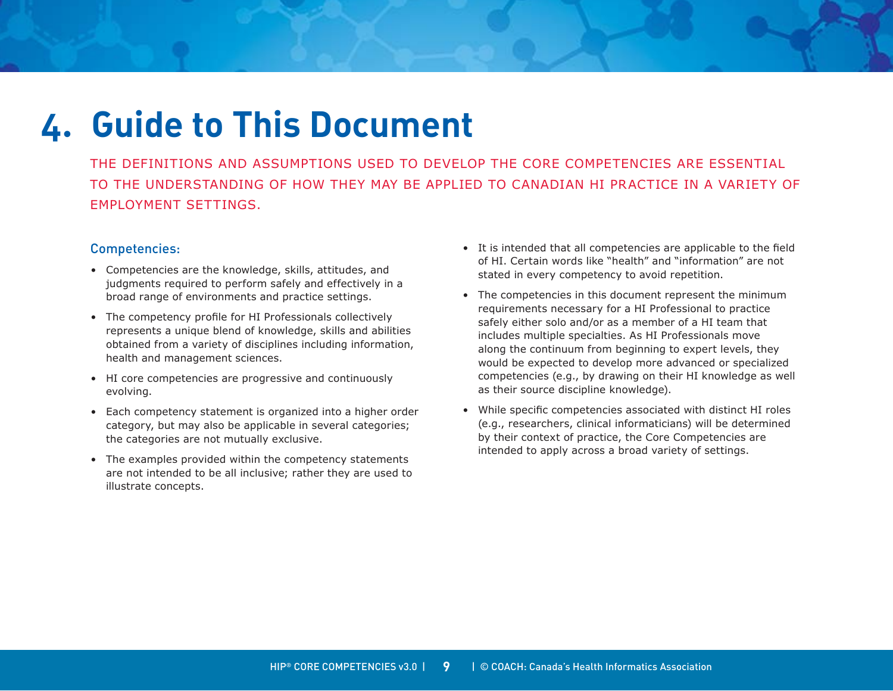# <span id="page-8-0"></span>**4. Guide to This Document**

The definitions and assumptions used to develop the Core Competencies are essential to the understanding of how they may be applied to Canadian HI practice in a variety of employment settings.

### Competencies:

- Competencies are the knowledge, skills, attitudes, and judgments required to perform safely and effectively in a broad range of environments and practice settings.
- The competency profile for HI Professionals collectively represents a unique blend of knowledge, skills and abilities obtained from a variety of disciplines including information, health and management sciences.
- HI core competencies are progressive and continuously evolving.
- Each competency statement is organized into a higher order category, but may also be applicable in several categories; the categories are not mutually exclusive.
- The examples provided within the competency statements are not intended to be all inclusive; rather they are used to illustrate concepts.
- It is intended that all competencies are applicable to the field of HI. Certain words like "health" and "information" are not stated in every competency to avoid repetition.
- The competencies in this document represent the minimum requirements necessary for a HI Professional to practice safely either solo and/or as a member of a HI team that includes multiple specialties. As HI Professionals move along the continuum from beginning to expert levels, they would be expected to develop more advanced or specialized competencies (e.g., by drawing on their HI knowledge as well as their source discipline knowledge).
- While specific competencies associated with distinct HI roles (e.g., researchers, clinical informaticians) will be determined by their context of practice, the Core Competencies are intended to apply across a broad variety of settings.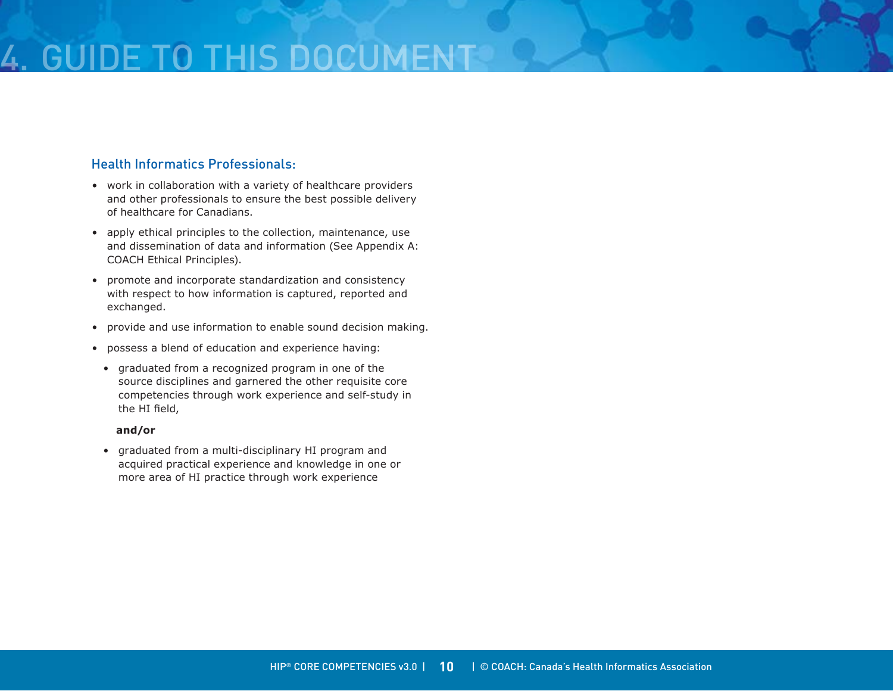# GUIDE TO THIS DOCU

### Health Informatics Professionals:

- work in collaboration with a variety of healthcare providers and other professionals to ensure the best possible delivery of healthcare for Canadians.
- apply ethical principles to the collection, maintenance, use and dissemination of data and information (See Appendix A: COACH Ethical Principles).
- promote and incorporate standardization and consistency with respect to how information is captured, reported and exchanged.
- provide and use information to enable sound decision making.
- possess a blend of education and experience having:
- graduated from a recognized program in one of the source disciplines and garnered the other requisite core competencies through work experience and self-study in the HI field,

### **and/or**

• graduated from a multi-disciplinary HI program and acquired practical experience and knowledge in one or more area of HI practice through work experience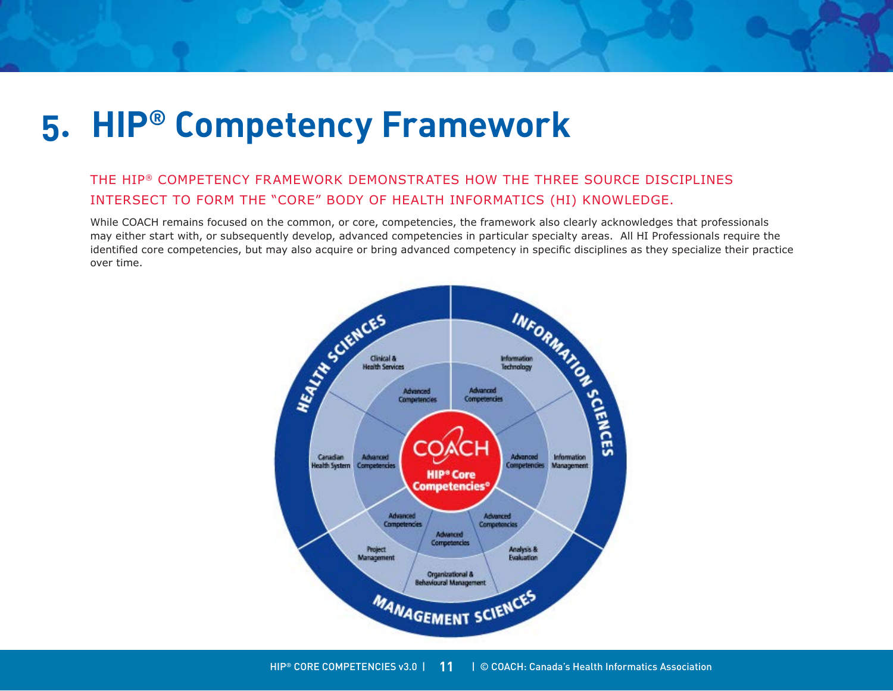# <span id="page-10-0"></span>**5. HIP® Competency Framework**

### The HIP® Competency Framework demonstrates how the three source disciplines intersect to form the "core" body of health informatics (HI) knowledge.

While COACH remains focused on the common, or core, competencies, the framework also clearly acknowledges that professionals may either start with, or subsequently develop, advanced competencies in particular specialty areas. All HI Professionals require the identified core competencies, but may also acquire or bring advanced competency in specific disciplines as they specialize their practice over time.

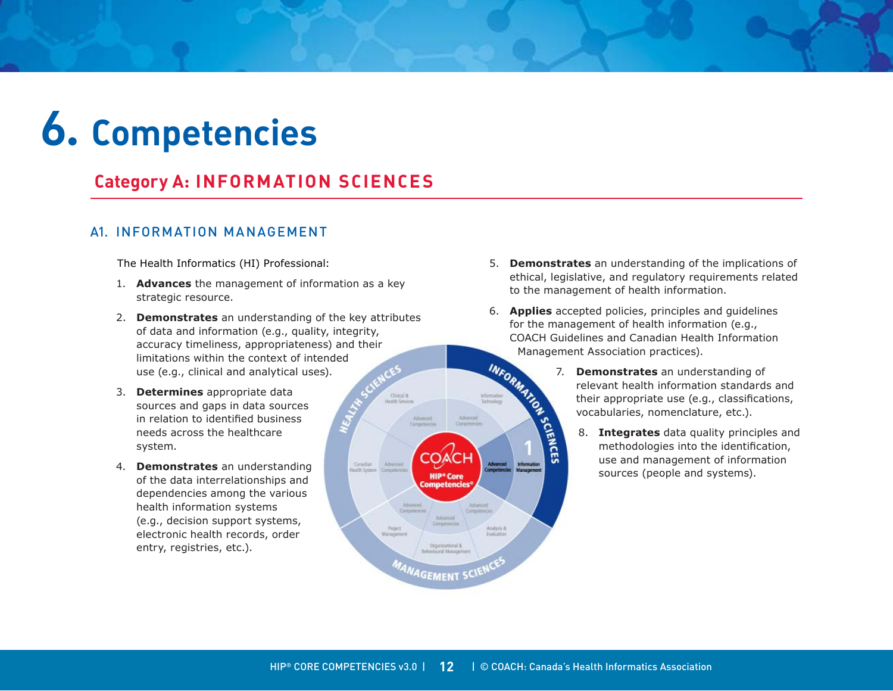# <span id="page-11-0"></span>**6. Competencies**

## **Category A: INFORMATION SCIENCES**

### A1. Information Management

The Health Informatics (HI) Professional:

- 1. **Advances** the management of information as a key strategic resource.
- 2. **Demonstrates** an understanding of the key attributes of data and information (e.g., quality, integrity, accuracy timeliness, appropriateness) and their limitations within the context of intended use (e.g., clinical and analytical uses).
- 3. **Determines** appropriate data sources and gaps in data sources in relation to identified business needs across the healthcare system.
- 4. **Demonstrates** an understanding of the data interrelationships and dependencies among the various health information systems (e.g., decision support systems, electronic health records, order entry, registries, etc.).
- 5. **Demonstrates** an understanding of the implications of ethical, legislative, and regulatory requirements related to the management of health information.
- 6. **Applies** accepted policies, principles and guidelines for the management of health information (e.g., COACH Guidelines and Canadian Health Information Management Association practices). INFORM
	- 7. **Demonstrates** an understanding of relevant health information standards and their appropriate use (e.g., classifications, vocabularies, nomenclature, etc.).
		- 8. **Integrates** data quality principles and methodologies into the identification, use and management of information sources (people and systems).



Cinical &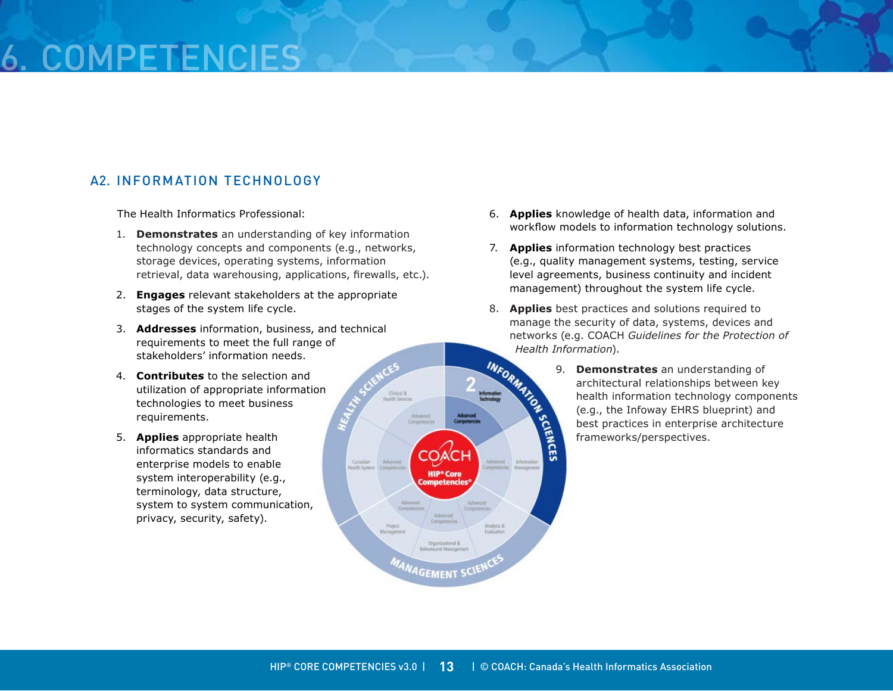# COMPETEN

### A2. Information Technology

The Health Informatics Professional:

- 1. **Demonstrates** an understanding of key information technology concepts and components (e.g., networks, storage devices, operating systems, information retrieval, data warehousing, applications, firewalls, etc.).
- 2. **Engages** relevant stakeholders at the appropriate stages of the system life cycle.
- 3. **Addresses** information, business, and technical requirements to meet the full range of stakeholders' information needs.
- 4. **Contributes** to the selection and utilization of appropriate information technologies to meet business requirements.
- 5. **Applies** appropriate health informatics standards and enterprise models to enable system interoperability (e.g., terminology, data structure, system to system communication, privacy, security, safety).
- 6. **Applies** knowledge of health data, information and workflow models to information technology solutions.
- 7. **Applies** information technology best practices (e.g., quality management systems, testing, service level agreements, business continuity and incident management) throughout the system life cycle.
- 8. **Applies** best practices and solutions required to manage the security of data, systems, devices and networks (e.g. COACH *Guidelines for the Protection of*
- Health Information).<br>
<br> **Mrown 3.**<br> **Demons**<br>
architect<br>
health in<br>
(e.g., the<br>
best practice framework). 9. **Demonstrates** an understanding of architectural relationships between key health information technology components (e.g., the Infoway EHRS blueprint) and best practices in enterprise architecture frameworks/perspectives.



Cinical &

Advanced

Canadian

Advanced

**HIP<sup>®</sup> Core**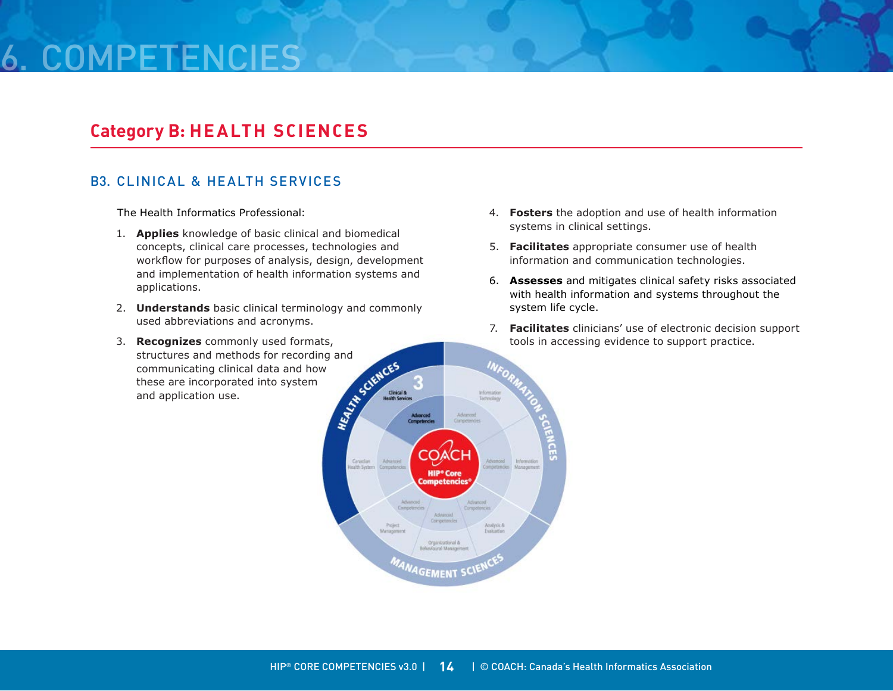# 6. Competencies

### **Category B: Health Sciences**

### B3. Clinical & Health Services

The Health Informatics Professional:

- 1. **Applies** knowledge of basic clinical and biomedical concepts, clinical care processes, technologies and workflow for purposes of analysis, design, development and implementation of health information systems and applications.
- 2. **Understands** basic clinical terminology and commonly used abbreviations and acronyms.
- 3. **Recognizes** commonly used formats, structures and methods for recording and<br>communicating clinical data and how<br>these are incorporated into system<br>and application use. communicating clinical data and how these are incorporated into system and application use.
- 4. **Fosters** the adoption and use of health information systems in clinical settings.
- 5. **Facilitates** appropriate consumer use of health information and communication technologies.
- 6. **Assesses** and mitigates clinical safety risks associated with health information and systems throughout the system life cycle.
- 7. **Facilitates** clinicians' use of electronic decision support tools in accessing evidence to support practice.

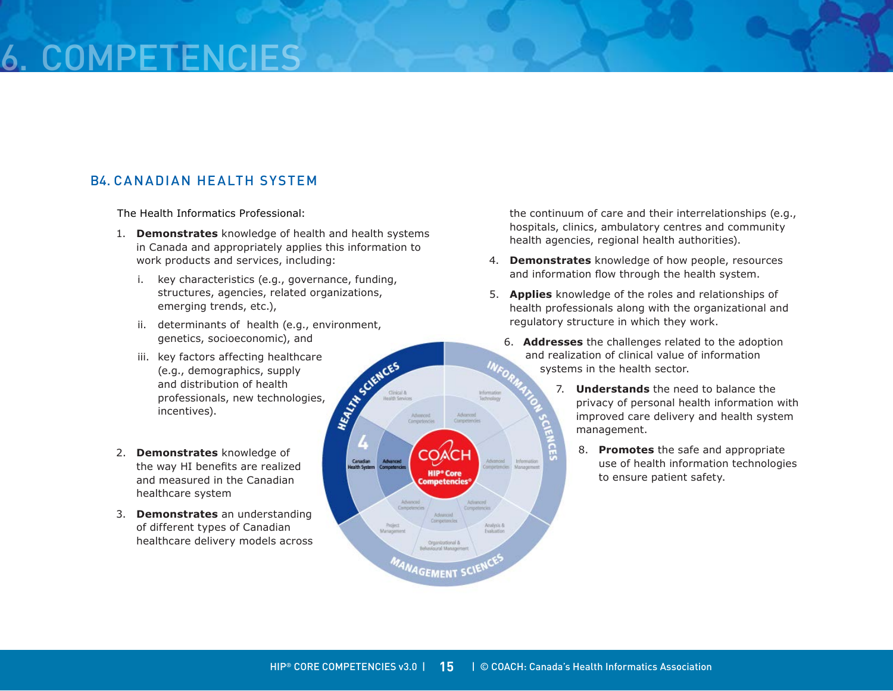# **COMPETEN**

### B4. Canadian Health System

The Health Informatics Professional:

- 1. **Demonstrates** knowledge of health and health systems in Canada and appropriately applies this information to work products and services, including:
	- i. key characteristics (e.g., governance, funding, structures, agencies, related organizations, emerging trends, etc.),
	- ii. determinants of health (e.g., environment, genetics, socioeconomic), and
	- iii. key factors affecting healthcare<br>(e.g., demographics, supply<br>and distribution of health<br>professionals, new technologies,<br>incentives). (e.g., demographics, supply and distribution of health professionals, new technologies, incentives).
- 2. **Demonstrates** knowledge of the way HI benefits are realized and measured in the Canadian healthcare system
- 3. **Demonstrates** an understanding of different types of Canadian healthcare delivery models across

the continuum of care and their interrelationships (e.g., hospitals, clinics, ambulatory centres and community health agencies, regional health authorities).

- 4. **Demonstrates** knowledge of how people, resources and information flow through the health system.
- 5. **Applies** knowledge of the roles and relationships of health professionals along with the organizational and regulatory structure in which they work.
	- 6. **Addresses** the challenges related to the adoption and realization of clinical value of information systems in the health sector.
		- 7. **Understands** the need to balance the privacy of personal health information with improved care delivery and health system management.
			- 8. **Promotes** the safe and appropriate use of health information technologies to ensure patient safety.

Analysis &<br>Evaluation

Advanced

Competent

**HIP<sup>®</sup>** Core **Competencies** 

Corripetancie

Organizational &<br>evioural Managen

<sup>INAGE</sup>MENT SC

Cinical &

Canadian

Advanced Compirtencies

Advanced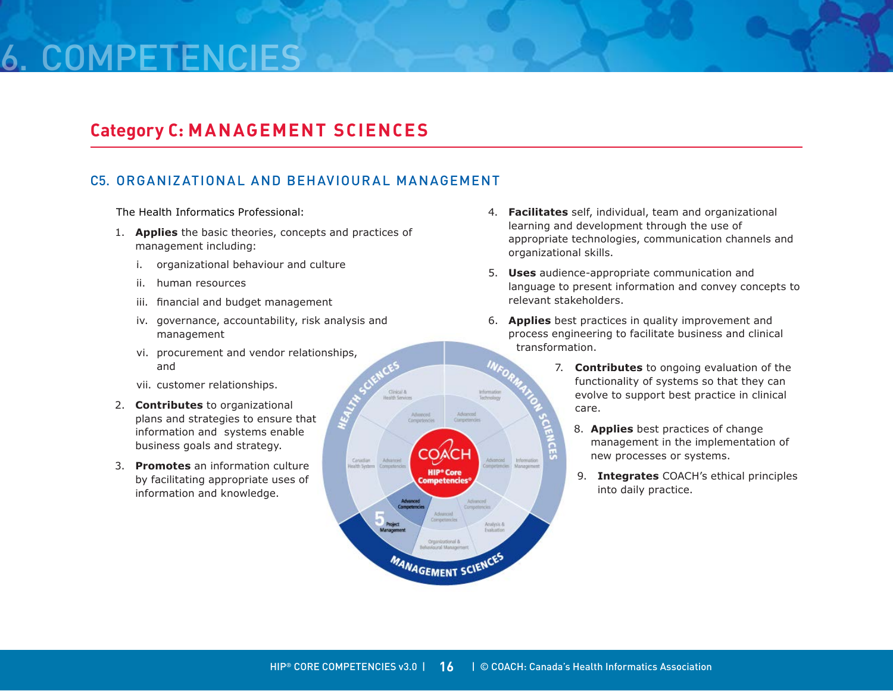# 6. Competencies

### **Category C: MANAGEMENT SCIENCES**

### C5. Organizational and Behavioural Management

Cinical &

Advanced

Canadian

Comon

Advanced

COA

**HIP<sup>®</sup> Core Competencies** 

Organizational & ind Mana **MANAGEMENT SCIENCES** 

The Health Informatics Professional:

- 1. **Applies** the basic theories, concepts and practices of management including:
	- i. organizational behaviour and culture
	- ii. human resources
	- iii. financial and budget management
	- iv. governance, accountability, risk analysis and management
	- vi. procurement and vendor relationships, and
	- vii. customer relationships.
- 2. **Contributes** to organizational plans and strategies to ensure that information and systems enable business goals and strategy.
- 3. **Promotes** an information culture by facilitating appropriate uses of information and knowledge.
- 4. **Facilitates** self, individual, team and organizational learning and development through the use of appropriate technologies, communication channels and organizational skills.
- 5. **Uses** audience-appropriate communication and language to present information and convey concepts to relevant stakeholders.
- 6. **Applies** best practices in quality improvement and process engineering to facilitate business and clinical transformation.
	- 7. **Contributes** to ongoing evaluation of the functionality of systems so that they can evolve to support best practice in clinical care.
		- 8. **Applies** best practices of change management in the implementation of new processes or systems.
		- 9. **Integrates** COACH's ethical principles into daily practice.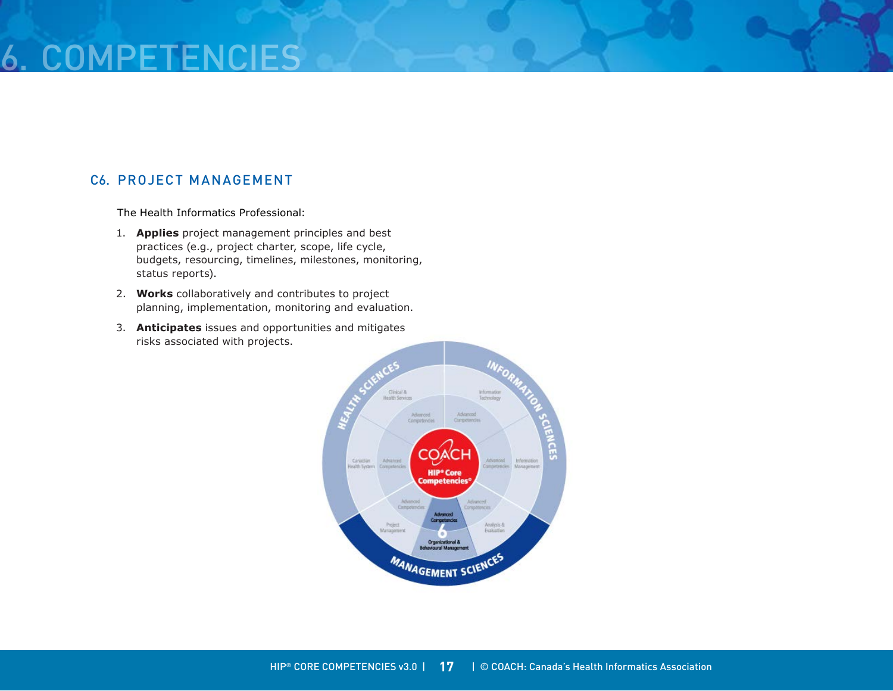# 6. COMPETEN

### C6. Project Management

The Health Informatics Professional:

- 1. **Applies** project management principles and best practices (e.g., project charter, scope, life cycle, budgets, resourcing, timelines, milestones, monitoring, status reports).
- 2. **Works** collaboratively and contributes to project planning, implementation, monitoring and evaluation.
- 3. **Anticipates** issues and opportunities and mitigates risks associated with projects.

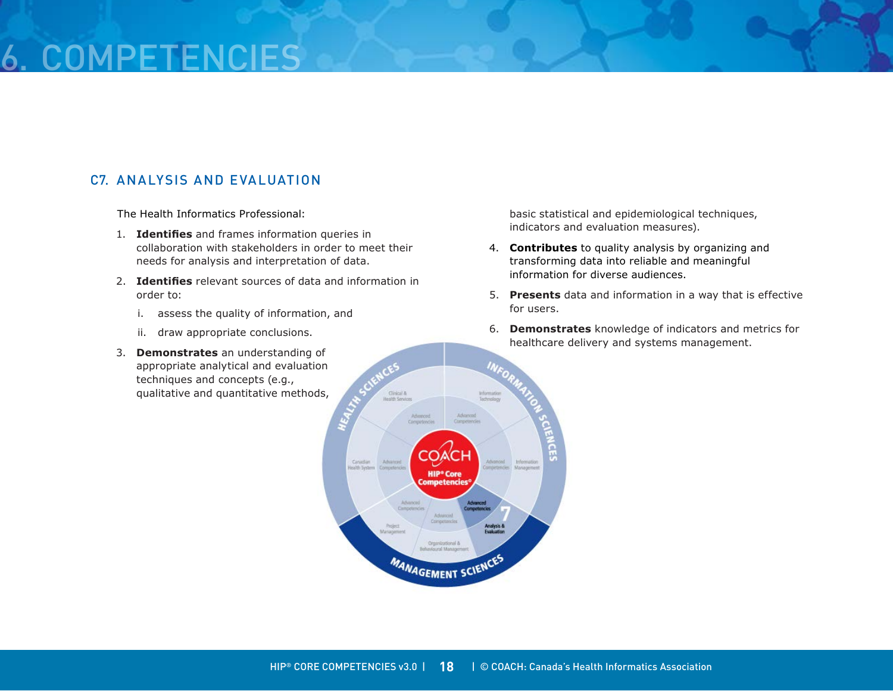# 6. COMPETEN

### C7. Analysis and Evaluation

The Health Informatics Professional:

- 1. **Identifies** and frames information queries in collaboration with stakeholders in order to meet their needs for analysis and interpretation of data.
- 2. **Identifies** relevant sources of data and information in order to:
	- i. assess the quality of information, and
	- ii. draw appropriate conclusions.
- 3. **Demonstrates** an understanding of appropriate analytical and evaluation techniques and concepts (e.g., qualitative and quantitative methods,

basic statistical and epidemiological techniques, indicators and evaluation measures).

- 4. **Contributes** to quality analysis by organizing and transforming data into reliable and meaningful information for diverse audiences.
- 5. **Presents** data and information in a way that is effective for users.
- 6. **Demonstrates** knowledge of indicators and metrics for healthcare delivery and systems management.

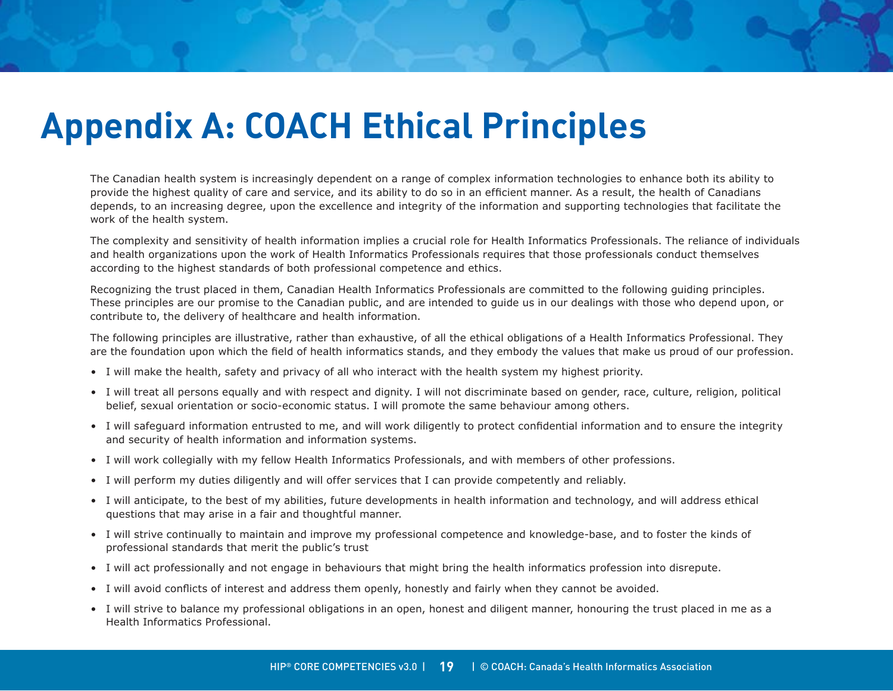# <span id="page-18-0"></span>**Appendix A: COACH Ethical Principles**

The Canadian health system is increasingly dependent on a range of complex information technologies to enhance both its ability to provide the highest quality of care and service, and its ability to do so in an efficient manner. As a result, the health of Canadians depends, to an increasing degree, upon the excellence and integrity of the information and supporting technologies that facilitate the work of the health system.

The complexity and sensitivity of health information implies a crucial role for Health Informatics Professionals. The reliance of individuals and health organizations upon the work of Health Informatics Professionals requires that those professionals conduct themselves according to the highest standards of both professional competence and ethics.

Recognizing the trust placed in them, Canadian Health Informatics Professionals are committed to the following guiding principles. These principles are our promise to the Canadian public, and are intended to guide us in our dealings with those who depend upon, or contribute to, the delivery of healthcare and health information.

The following principles are illustrative, rather than exhaustive, of all the ethical obligations of a Health Informatics Professional. They are the foundation upon which the field of health informatics stands, and they embody the values that make us proud of our profession.

- I will make the health, safety and privacy of all who interact with the health system my highest priority.
- I will treat all persons equally and with respect and dignity. I will not discriminate based on gender, race, culture, religion, political belief, sexual orientation or socio-economic status. I will promote the same behaviour among others.
- I will safeguard information entrusted to me, and will work diligently to protect confidential information and to ensure the integrity and security of health information and information systems.
- I will work collegially with my fellow Health Informatics Professionals, and with members of other professions.
- I will perform my duties diligently and will offer services that I can provide competently and reliably.
- I will anticipate, to the best of my abilities, future developments in health information and technology, and will address ethical questions that may arise in a fair and thoughtful manner.
- I will strive continually to maintain and improve my professional competence and knowledge-base, and to foster the kinds of professional standards that merit the public's trust
- I will act professionally and not engage in behaviours that might bring the health informatics profession into disrepute.
- I will avoid conflicts of interest and address them openly, honestly and fairly when they cannot be avoided.
- I will strive to balance my professional obligations in an open, honest and diligent manner, honouring the trust placed in me as a Health Informatics Professional.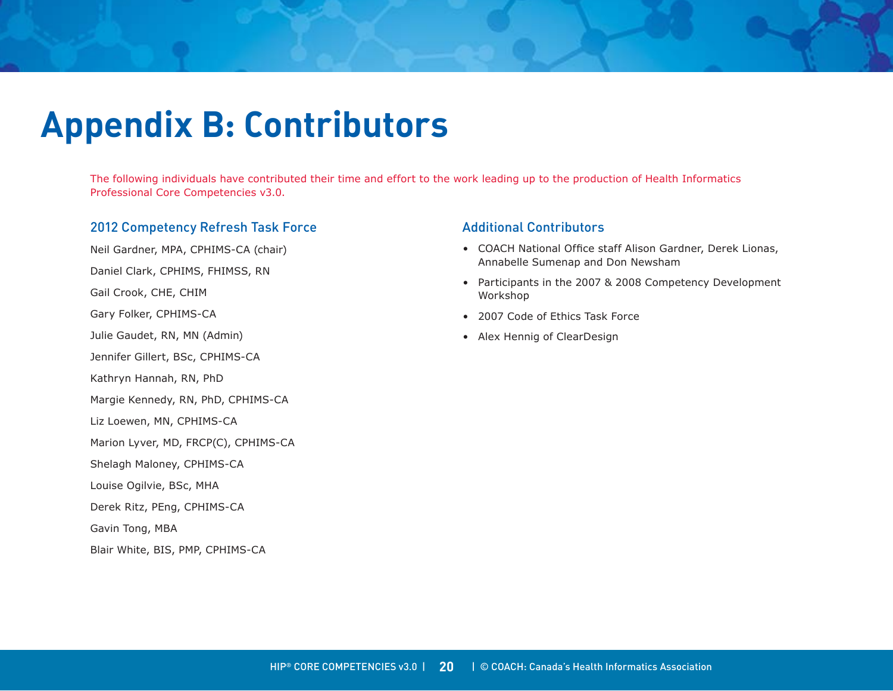# <span id="page-19-0"></span>**Appendix B: Contributors**

The following individuals have contributed their time and effort to the work leading up to the production of Health Informatics Professional Core Competencies v3.0.

### 2012 Competency Refresh Task Force

Neil Gardner, MPA, CPHIMS-CA (chair)

Daniel Clark, CPHIMS, FHIMSS, RN

Gail Crook, CHE, CHIM

Gary Folker, CPHIMS-CA

Julie Gaudet, RN, MN (Admin)

Jennifer Gillert, BSc, CPHIMS-CA

Kathryn Hannah, RN, PhD

Margie Kennedy, RN, PhD, CPHIMS-CA

Liz Loewen, MN, CPHIMS-CA

Marion Lyver, MD, FRCP(C), CPHIMS-CA

Shelagh Maloney, CPHIMS-CA

Louise Ogilvie, BSc, MHA

Derek Ritz, PEng, CPHIMS-CA

Gavin Tong, MBA

Blair White, BIS, PMP, CPHIMS-CA

### Additional Contributors

- COACH National Office staff Alison Gardner, Derek Lionas, Annabelle Sumenap and Don Newsham
- Participants in the 2007 & 2008 Competency Development Workshop
- 2007 Code of Ethics Task Force
- Alex Hennig of ClearDesign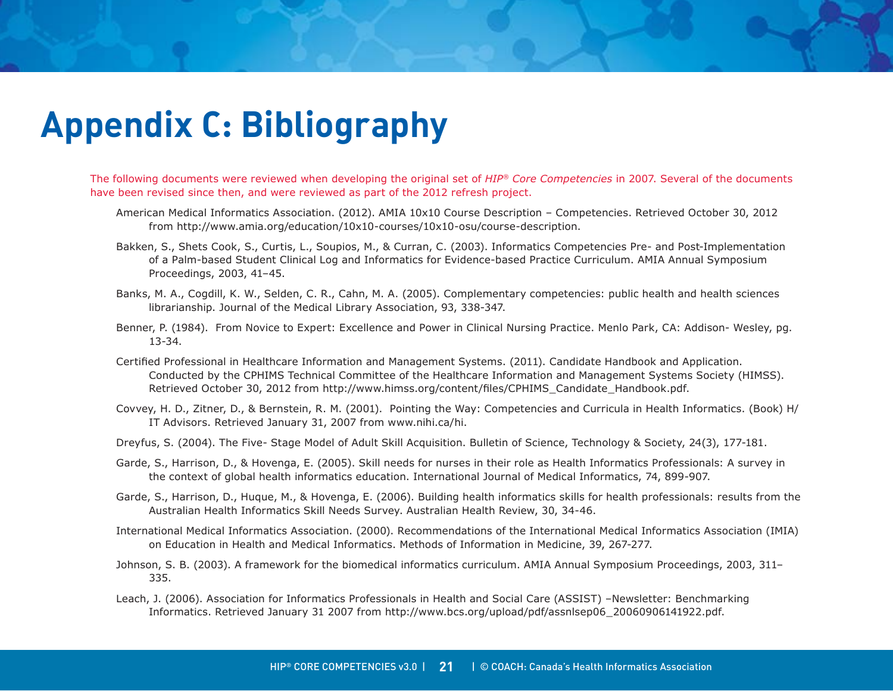# <span id="page-20-0"></span>**Appendix C: Bibliography**

The following documents were reviewed when developing the original set of *HIP® Core Competencies* in 2007. Several of the documents have been revised since then, and were reviewed as part of the 2012 refresh project.

- American Medical Informatics Association. (2012). AMIA 10x10 Course Description Competencies. Retrieved October 30, 2012 from http://www.amia.org/education/10x10-courses/10x10-osu/course-description.
- Bakken, S., Shets Cook, S., Curtis, L., Soupios, M., & Curran, C. (2003). Informatics Competencies Pre- and Post-Implementation of a Palm-based Student Clinical Log and Informatics for Evidence-based Practice Curriculum. AMIA Annual Symposium Proceedings, 2003, 41–45.
- Banks, M. A., Cogdill, K. W., Selden, C. R., Cahn, M. A. (2005). Complementary competencies: public health and health sciences librarianship. Journal of the Medical Library Association, 93, 338-347.
- Benner, P. (1984). From Novice to Expert: Excellence and Power in Clinical Nursing Practice. Menlo Park, CA: Addison- Wesley, pg. 13-34.
- Certified Professional in Healthcare Information and Management Systems. (2011). Candidate Handbook and Application. Conducted by the CPHIMS Technical Committee of the Healthcare Information and Management Systems Society (HIMSS). Retrieved October 30, 2012 from http://www.himss.org/content/files/CPHIMS\_Candidate\_Handbook.pdf.
- Covvey, H. D., Zitner, D., & Bernstein, R. M. (2001). Pointing the Way: Competencies and Curricula in Health Informatics. (Book) H/ IT Advisors. Retrieved January 31, 2007 from www.nihi.ca/hi.
- Dreyfus, S. (2004). The Five- Stage Model of Adult Skill Acquisition. Bulletin of Science, Technology & Society, 24(3), 177-181.
- Garde, S., Harrison, D., & Hovenga, E. (2005). Skill needs for nurses in their role as Health Informatics Professionals: A survey in the context of global health informatics education. International Journal of Medical Informatics, 74, 899-907.
- Garde, S., Harrison, D., Huque, M., & Hovenga, E. (2006). Building health informatics skills for health professionals: results from the Australian Health Informatics Skill Needs Survey. Australian Health Review, 30, 34-46.
- International Medical Informatics Association. (2000). Recommendations of the International Medical Informatics Association (IMIA) on Education in Health and Medical Informatics. Methods of Information in Medicine, 39, 267-277.
- Johnson, S. B. (2003). A framework for the biomedical informatics curriculum. AMIA Annual Symposium Proceedings, 2003, 311– 335.
- Leach, J. (2006). Association for Informatics Professionals in Health and Social Care (ASSIST) –Newsletter: Benchmarking Informatics. Retrieved January 31 2007 from http://www.bcs.org/upload/pdf/assnlsep06\_20060906141922.pdf.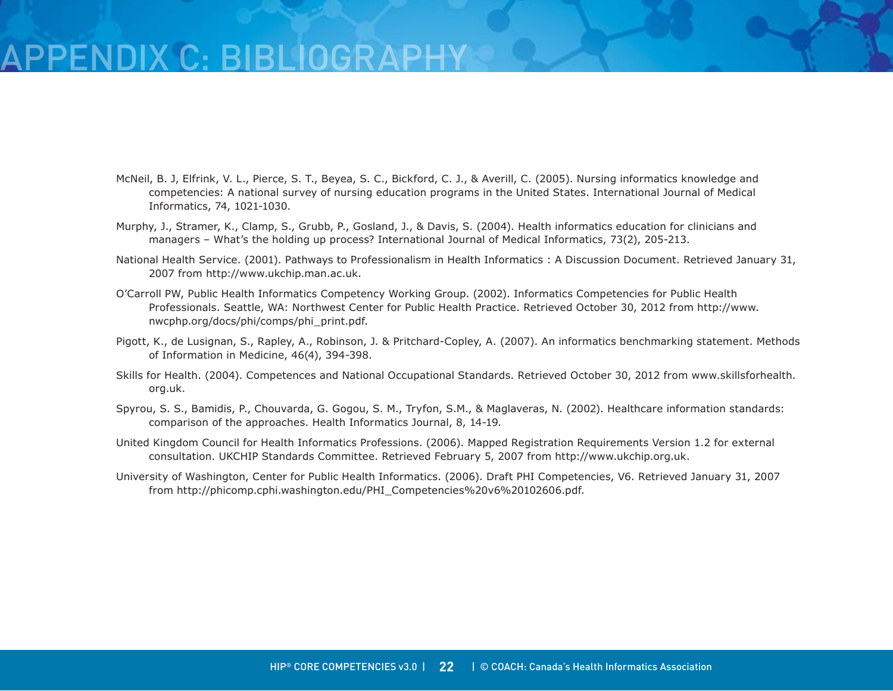# FNDIX C: BIBLIOGRAF

- McNeil, B. J, Elfrink, V. L., Pierce, S. T., Beyea, S. C., Bickford, C. J., & Averill, C. (2005). Nursing informatics knowledge and competencies: A national survey of nursing education programs in the United States. International Journal of Medical Informatics, 74, 1021-1030.
- Murphy, J., Stramer, K., Clamp, S., Grubb, P., Gosland, J., & Davis, S. (2004). Health informatics education for clinicians and managers – What's the holding up process? International Journal of Medical Informatics, 73(2), 205-213.
- National Health Service. (2001). Pathways to Professionalism in Health Informatics : A Discussion Document. Retrieved January 31, 2007 from http://www.ukchip.man.ac.uk.
- O'Carroll PW, Public Health Informatics Competency Working Group. (2002). Informatics Competencies for Public Health Professionals. Seattle, WA: Northwest Center for Public Health Practice. Retrieved October 30, 2012 from http://www. nwcphp.org/docs/phi/comps/phi\_print.pdf.
- Pigott, K., de Lusignan, S., Rapley, A., Robinson, J. & Pritchard-Copley, A. (2007). An informatics benchmarking statement. Methods of Information in Medicine, 46(4), 394-398.
- Skills for Health. (2004). Competences and National Occupational Standards. Retrieved October 30, 2012 from www.skillsforhealth. org.uk.
- Spyrou, S. S., Bamidis, P., Chouvarda, G. Gogou, S. M., Tryfon, S.M., & Maglaveras, N. (2002). Healthcare information standards: comparison of the approaches. Health Informatics Journal, 8, 14-19.
- United Kingdom Council for Health Informatics Professions. (2006). Mapped Registration Requirements Version 1.2 for external consultation. UKCHIP Standards Committee. Retrieved February 5, 2007 from http://www.ukchip.org.uk.
- University of Washington, Center for Public Health Informatics. (2006). Draft PHI Competencies, V6. Retrieved January 31, 2007 from http://phicomp.cphi.washington.edu/PHI\_Competencies%20v6%20102606.pdf.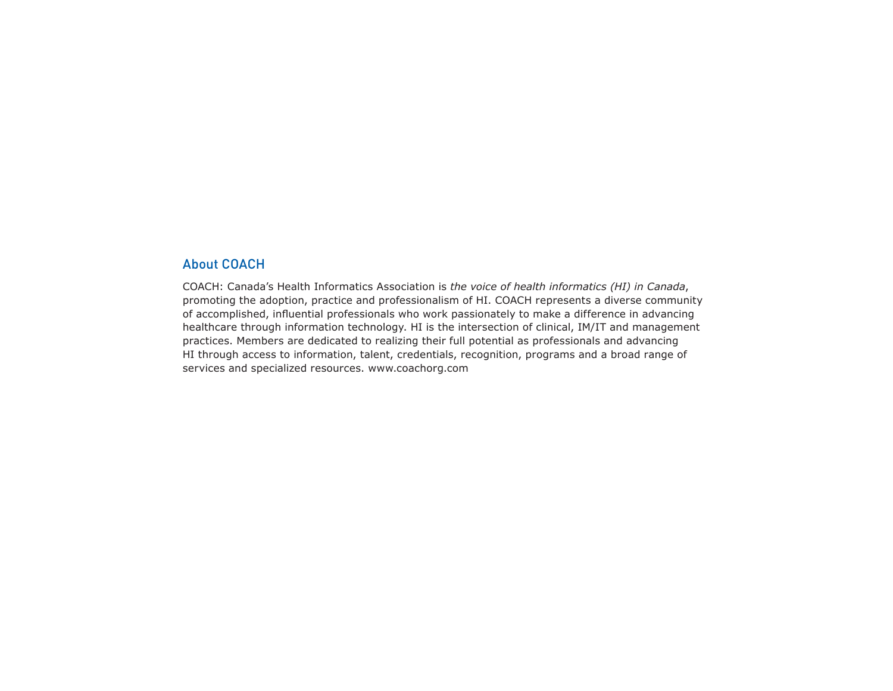### About COACH

COACH: Canada's Health Informatics Association is *the voice of health informatics (HI) in Canada*, promoting the adoption, practice and professionalism of HI. COACH represents a diverse community of accomplished, influential professionals who work passionately to make a difference in advancing healthcare through information technology. HI is the intersection of clinical, IM/IT and management practices. Members are dedicated to realizing their full potential as professionals and advancing HI through access to information, talent, credentials, recognition, programs and a broad range of services and specialized resources. www.coachorg.com